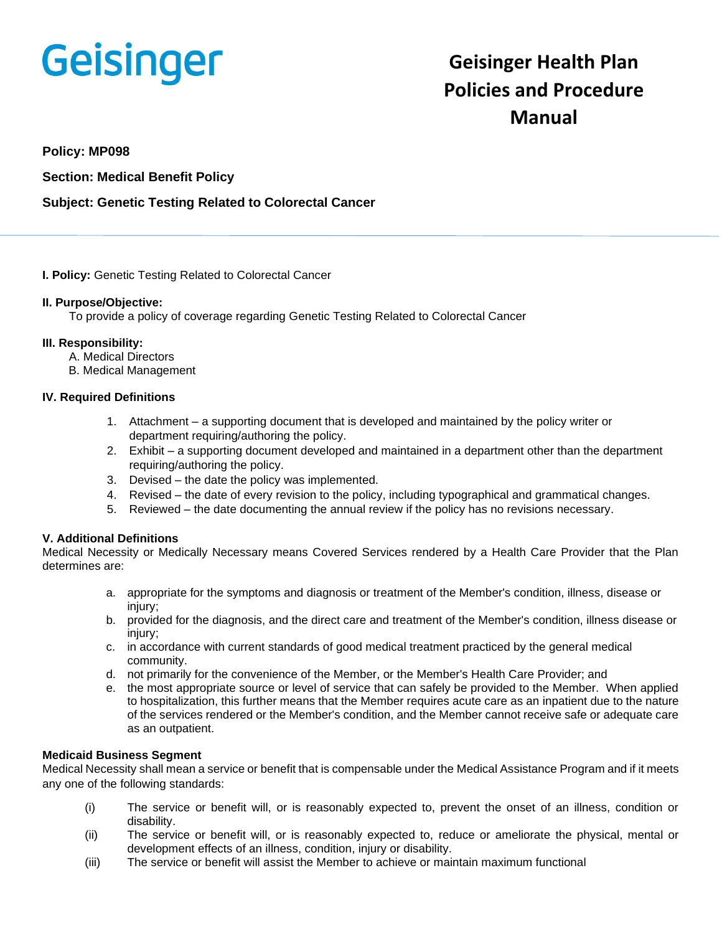# **Geisinger**

# **Geisinger Health Plan Policies and Procedure Manual**

#### **Policy: MP098**

#### **Section: Medical Benefit Policy**

#### **Subject: Genetic Testing Related to Colorectal Cancer**

#### **I. Policy:** Genetic Testing Related to Colorectal Cancer

#### **II. Purpose/Objective:**

To provide a policy of coverage regarding Genetic Testing Related to Colorectal Cancer

#### **III. Responsibility:**

- A. Medical Directors
- B. Medical Management

#### **IV. Required Definitions**

- 1. Attachment a supporting document that is developed and maintained by the policy writer or department requiring/authoring the policy.
- 2. Exhibit a supporting document developed and maintained in a department other than the department requiring/authoring the policy.
- 3. Devised the date the policy was implemented.
- 4. Revised the date of every revision to the policy, including typographical and grammatical changes.
- 5. Reviewed the date documenting the annual review if the policy has no revisions necessary.

#### **V. Additional Definitions**

Medical Necessity or Medically Necessary means Covered Services rendered by a Health Care Provider that the Plan determines are:

- a. appropriate for the symptoms and diagnosis or treatment of the Member's condition, illness, disease or injury;
- b. provided for the diagnosis, and the direct care and treatment of the Member's condition, illness disease or injury;
- c. in accordance with current standards of good medical treatment practiced by the general medical community.
- d. not primarily for the convenience of the Member, or the Member's Health Care Provider; and
- e. the most appropriate source or level of service that can safely be provided to the Member. When applied to hospitalization, this further means that the Member requires acute care as an inpatient due to the nature of the services rendered or the Member's condition, and the Member cannot receive safe or adequate care as an outpatient.

#### **Medicaid Business Segment**

Medical Necessity shall mean a service or benefit that is compensable under the Medical Assistance Program and if it meets any one of the following standards:

- (i) The service or benefit will, or is reasonably expected to, prevent the onset of an illness, condition or disability.
- (ii) The service or benefit will, or is reasonably expected to, reduce or ameliorate the physical, mental or development effects of an illness, condition, injury or disability.
- (iii) The service or benefit will assist the Member to achieve or maintain maximum functional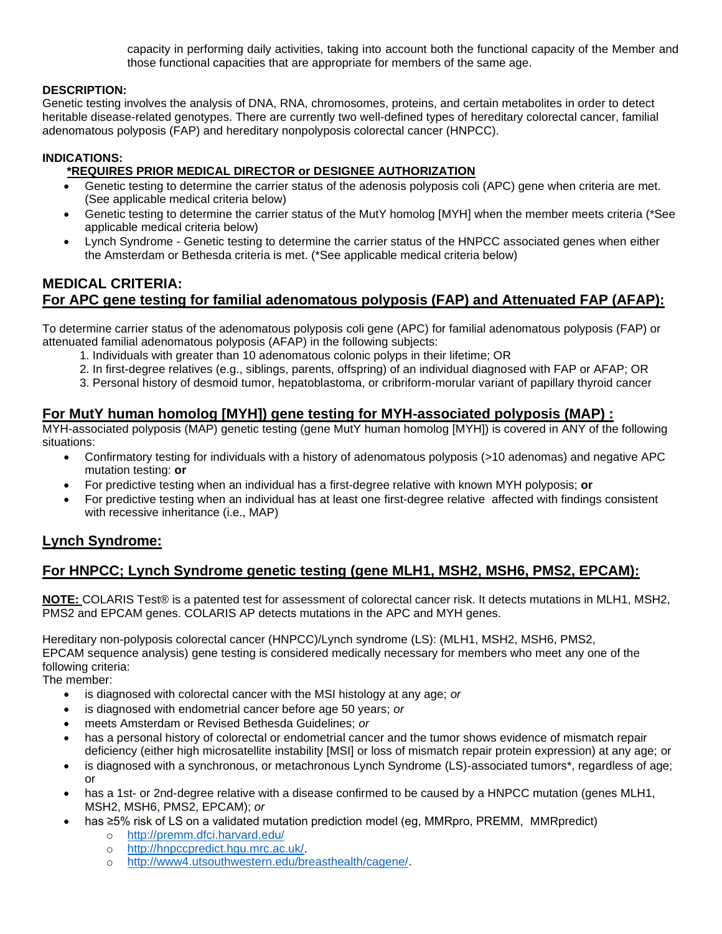capacity in performing daily activities, taking into account both the functional capacity of the Member and those functional capacities that are appropriate for members of the same age.

#### **DESCRIPTION:**

Genetic testing involves the analysis of DNA, RNA, chromosomes, proteins, and certain metabolites in order to detect heritable disease-related genotypes. There are currently two well-defined types of hereditary colorectal cancer, familial adenomatous polyposis (FAP) and hereditary nonpolyposis colorectal cancer (HNPCC).

#### **INDICATIONS:**

#### **\*REQUIRES PRIOR MEDICAL DIRECTOR or DESIGNEE AUTHORIZATION**

- Genetic testing to determine the carrier status of the adenosis polyposis coli (APC) gene when criteria are met. (See applicable medical criteria below)
- Genetic testing to determine the carrier status of the MutY homolog [MYH] when the member meets criteria (\*See applicable medical criteria below)
- Lynch Syndrome Genetic testing to determine the carrier status of the HNPCC associated genes when either the Amsterdam or Bethesda criteria is met. (\*See applicable medical criteria below)

# **MEDICAL CRITERIA: For APC gene testing for familial adenomatous polyposis (FAP) and Attenuated FAP (AFAP):**

To determine carrier status of the adenomatous polyposis coli gene (APC) for familial adenomatous polyposis (FAP) or attenuated familial adenomatous polyposis (AFAP) in the following subjects:

- 1. Individuals with greater than 10 adenomatous colonic polyps in their lifetime; OR
- 2. In first-degree relatives (e.g., siblings, parents, offspring) of an individual diagnosed with FAP or AFAP; OR
- 3. Personal history of desmoid tumor, hepatoblastoma, or cribriform-morular variant of papillary thyroid cancer

#### **For MutY human homolog [MYH]) gene testing for MYH-associated polyposis (MAP) :**

MYH-associated polyposis (MAP) genetic testing (gene MutY human homolog [MYH]) is covered in ANY of the following situations:

- Confirmatory testing for individuals with a history of adenomatous polyposis (>10 adenomas) and negative APC mutation testing: **or**
- For predictive testing when an individual has a first-degree relative with known MYH polyposis; **or**
- For predictive testing when an individual has at least one first-degree relative affected with findings consistent with recessive inheritance (i.e., MAP)

#### **Lynch Syndrome:**

## **For HNPCC; Lynch Syndrome genetic testing (gene MLH1, MSH2, MSH6, PMS2, EPCAM):**

**NOTE:** COLARIS Test® is a patented test for assessment of colorectal cancer risk. It detects mutations in MLH1, MSH2, PMS2 and EPCAM genes. COLARIS AP detects mutations in the APC and MYH genes.

Hereditary non-polyposis colorectal cancer (HNPCC)/Lynch syndrome (LS): (MLH1, MSH2, MSH6, PMS2, EPCAM sequence analysis) gene testing is considered medically necessary for members who meet any one of the following criteria:

The member:

- is diagnosed with colorectal cancer with the MSI histology at any age; *or*
- is diagnosed with endometrial cancer before age 50 years; *or*
- meets Amsterdam or Revised Bethesda Guidelines; *or*
- has a personal history of colorectal or endometrial cancer and the tumor shows evidence of mismatch repair deficiency (either high microsatellite instability [MSI] or loss of mismatch repair protein expression) at any age; or
- is diagnosed with a synchronous, or metachronous Lynch Syndrome (LS)-associated tumors\*, regardless of age; or
- has a 1st- or 2nd-degree relative with a disease confirmed to be caused by a HNPCC mutation (genes MLH1, MSH2, MSH6, PMS2, EPCAM); *or*
- has ≥5% risk of LS on a validated mutation prediction model (eg, MMRpro, PREMM, MMRpredict)
	- o <http://premm.dfci.harvard.edu/>
	- o [http://hnpccpredict.hgu.mrc.ac.uk/.](http://hnpccpredict.hqu.mrc.ac.uk/)
	- o [http://www4.utsouthwestern.edu/breasthealth/cagene/.](http://www4.utsouthwestern.edu/breasthealth/cagene/)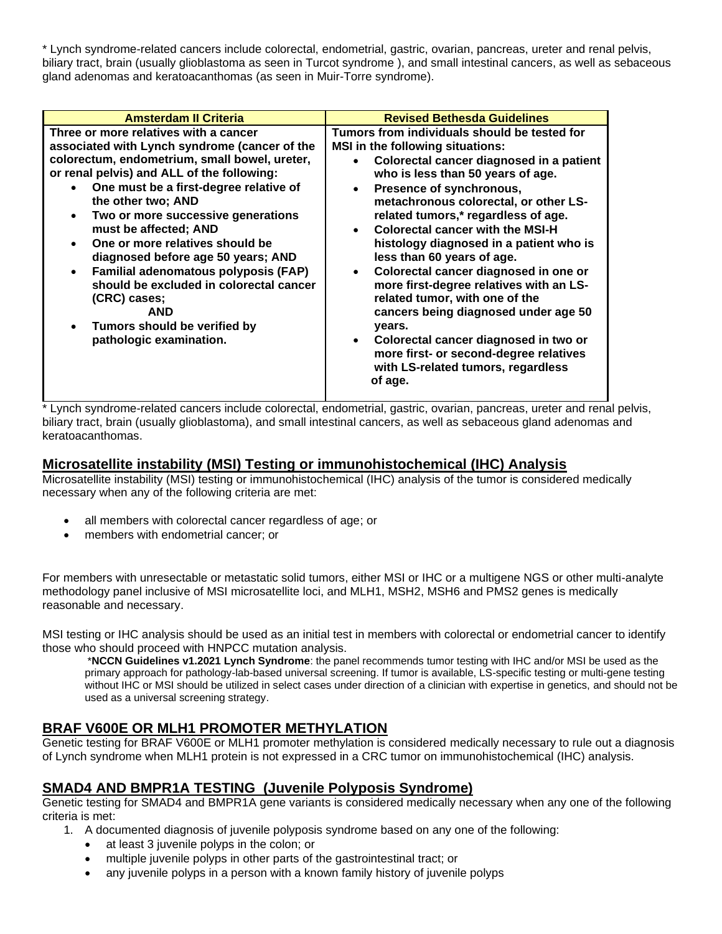\* Lynch syndrome-related cancers include colorectal, endometrial, gastric, ovarian, pancreas, ureter and renal pelvis, biliary tract, brain (usually glioblastoma as seen in Turcot syndrome ), and small intestinal cancers, as well as sebaceous gland adenomas and keratoacanthomas (as seen in Muir-Torre syndrome).

| <b>Amsterdam II Criteria</b>                                                                                                                                                                                                                                                                                                                                                                                                                                                                                                                                                                        | <b>Revised Bethesda Guidelines</b>                                                                                                                                                                                                                                                                                                                                                                                                                                                                                                                                                                                                                                                                                                                                                    |
|-----------------------------------------------------------------------------------------------------------------------------------------------------------------------------------------------------------------------------------------------------------------------------------------------------------------------------------------------------------------------------------------------------------------------------------------------------------------------------------------------------------------------------------------------------------------------------------------------------|---------------------------------------------------------------------------------------------------------------------------------------------------------------------------------------------------------------------------------------------------------------------------------------------------------------------------------------------------------------------------------------------------------------------------------------------------------------------------------------------------------------------------------------------------------------------------------------------------------------------------------------------------------------------------------------------------------------------------------------------------------------------------------------|
| Three or more relatives with a cancer<br>associated with Lynch syndrome (cancer of the<br>colorectum, endometrium, small bowel, ureter,<br>or renal pelvis) and ALL of the following:<br>One must be a first-degree relative of<br>the other two; AND<br>Two or more successive generations<br>$\bullet$<br>must be affected; AND<br>One or more relatives should be<br>diagnosed before age 50 years; AND<br>Familial adenomatous polyposis (FAP)<br>$\bullet$<br>should be excluded in colorectal cancer<br>(CRC) cases:<br><b>AND</b><br>Tumors should be verified by<br>pathologic examination. | Tumors from individuals should be tested for<br><b>MSI</b> in the following situations:<br>Colorectal cancer diagnosed in a patient<br>$\bullet$<br>who is less than 50 years of age.<br>Presence of synchronous,<br>$\bullet$<br>metachronous colorectal, or other LS-<br>related tumors,* regardless of age.<br><b>Colorectal cancer with the MSI-H</b><br>$\bullet$<br>histology diagnosed in a patient who is<br>less than 60 years of age.<br>Colorectal cancer diagnosed in one or<br>$\bullet$<br>more first-degree relatives with an LS-<br>related tumor, with one of the<br>cancers being diagnosed under age 50<br>years.<br>Colorectal cancer diagnosed in two or<br>$\bullet$<br>more first- or second-degree relatives<br>with LS-related tumors, regardless<br>of age. |

\* Lynch syndrome-related cancers include colorectal, endometrial, gastric, ovarian, pancreas, ureter and renal pelvis, biliary tract, brain (usually glioblastoma), and small intestinal cancers, as well as sebaceous gland adenomas and keratoacanthomas.

#### **Microsatellite instability (MSI) Testing or immunohistochemical (IHC) Analysis**

Microsatellite instability (MSI) testing or immunohistochemical (IHC) analysis of the tumor is considered medically necessary when any of the following criteria are met:

- all members with colorectal cancer regardless of age; or
- members with endometrial cancer; or

For members with unresectable or metastatic solid tumors, either MSI or IHC or a multigene NGS or other multi-analyte methodology panel inclusive of MSI microsatellite loci, and MLH1, MSH2, MSH6 and PMS2 genes is medically reasonable and necessary.

MSI testing or IHC analysis should be used as an initial test in members with colorectal or endometrial cancer to identify those who should proceed with HNPCC mutation analysis.

\***NCCN Guidelines v1.2021 Lynch Syndrome**: the panel recommends tumor testing with IHC and/or MSI be used as the primary approach for pathology-lab-based universal screening. If tumor is available, LS-specific testing or multi-gene testing without IHC or MSI should be utilized in select cases under direction of a clinician with expertise in genetics, and should not be used as a universal screening strategy.

## **BRAF V600E OR MLH1 PROMOTER METHYLATION**

Genetic testing for BRAF V600E or MLH1 promoter methylation is considered medically necessary to rule out a diagnosis of Lynch syndrome when MLH1 protein is not expressed in a CRC tumor on immunohistochemical (IHC) analysis.

## **SMAD4 AND BMPR1A TESTING (Juvenile Polyposis Syndrome)**

Genetic testing for SMAD4 and BMPR1A gene variants is considered medically necessary when any one of the following criteria is met:

- 1. A documented diagnosis of juvenile polyposis syndrome based on any one of the following:
	- at least 3 juvenile polyps in the colon; or
	- multiple juvenile polyps in other parts of the gastrointestinal tract; or
	- any juvenile polyps in a person with a known family history of juvenile polyps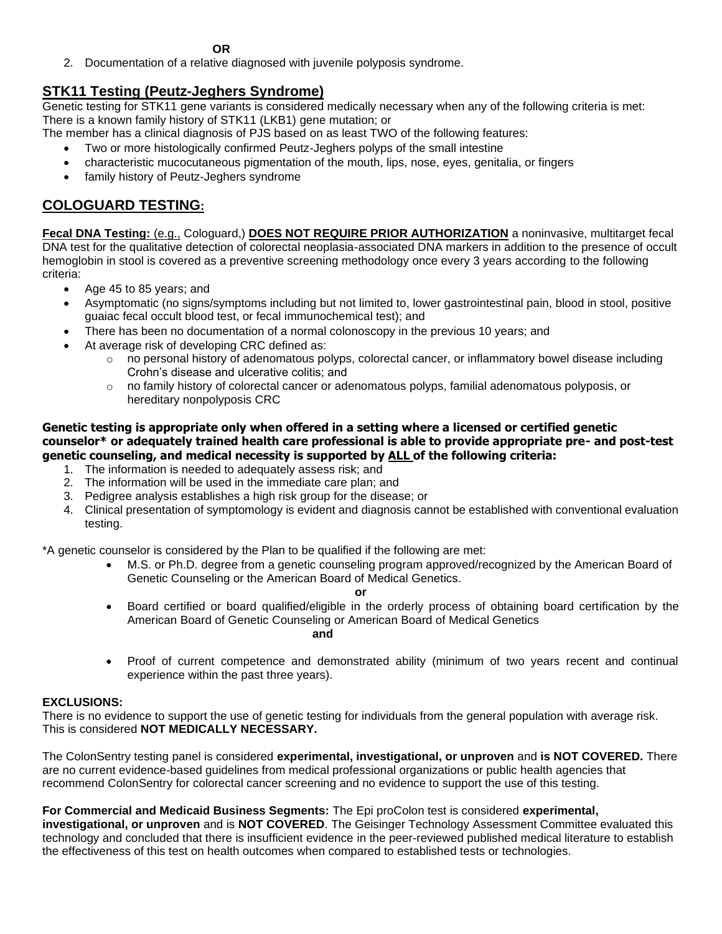**OR** 

2. Documentation of a relative diagnosed with juvenile polyposis syndrome.

# **STK11 Testing (Peutz-Jeghers Syndrome)**

Genetic testing for STK11 gene variants is considered medically necessary when any of the following criteria is met: There is a known family history of STK11 (LKB1) gene mutation; or

- The member has a clinical diagnosis of PJS based on as least TWO of the following features:
	- Two or more histologically confirmed Peutz-Jeghers polyps of the small intestine
	- characteristic mucocutaneous pigmentation of the mouth, lips, nose, eyes, genitalia, or fingers
	- family history of Peutz-Jeghers syndrome

# **COLOGUARD TESTING:**

**Fecal DNA Testing:** (e.g., Cologuard,) **DOES NOT REQUIRE PRIOR AUTHORIZATION** a noninvasive, multitarget fecal DNA test for the qualitative detection of colorectal neoplasia-associated DNA markers in addition to the presence of occult hemoglobin in stool is covered as a preventive screening methodology once every 3 years according to the following criteria:

- Age 45 to 85 years; and
- Asymptomatic (no signs/symptoms including but not limited to, lower gastrointestinal pain, blood in stool, positive guaiac fecal occult blood test, or fecal immunochemical test); and
- There has been no documentation of a normal colonoscopy in the previous 10 years; and
- At average risk of developing CRC defined as:
	- $\circ$  no personal history of adenomatous polyps, colorectal cancer, or inflammatory bowel disease including Crohn's disease and ulcerative colitis; and
	- $\circ$  no family history of colorectal cancer or adenomatous polyps, familial adenomatous polyposis, or hereditary nonpolyposis CRC

#### **Genetic testing is appropriate only when offered in a setting where a licensed or certified genetic counselor\* or adequately trained health care professional is able to provide appropriate pre- and post-test genetic counseling, and medical necessity is supported by ALL of the following criteria:**

- 1. The information is needed to adequately assess risk; and
- 2. The information will be used in the immediate care plan; and
- 3. Pedigree analysis establishes a high risk group for the disease; or
- 4. Clinical presentation of symptomology is evident and diagnosis cannot be established with conventional evaluation testing.

\*A genetic counselor is considered by the Plan to be qualified if the following are met:

• M.S. or Ph.D. degree from a genetic counseling program approved/recognized by the American Board of Genetic Counseling or the American Board of Medical Genetics.

**or** • Board certified or board qualified/eligible in the orderly process of obtaining board certification by the American Board of Genetic Counseling or American Board of Medical Genetics **and and and and and** 

• Proof of current competence and demonstrated ability (minimum of two years recent and continual experience within the past three years).

#### **EXCLUSIONS:**

There is no evidence to support the use of genetic testing for individuals from the general population with average risk. This is considered **NOT MEDICALLY NECESSARY.**

The ColonSentry testing panel is considered **experimental, investigational, or unproven** and **is NOT COVERED.** There are no current evidence-based guidelines from medical professional organizations or public health agencies that recommend ColonSentry for colorectal cancer screening and no evidence to support the use of this testing.

#### **For Commercial and Medicaid Business Segments:** The Epi proColon test is considered **experimental,**

**investigational, or unproven** and is **NOT COVERED**. The Geisinger Technology Assessment Committee evaluated this technology and concluded that there is insufficient evidence in the peer-reviewed published medical literature to establish the effectiveness of this test on health outcomes when compared to established tests or technologies.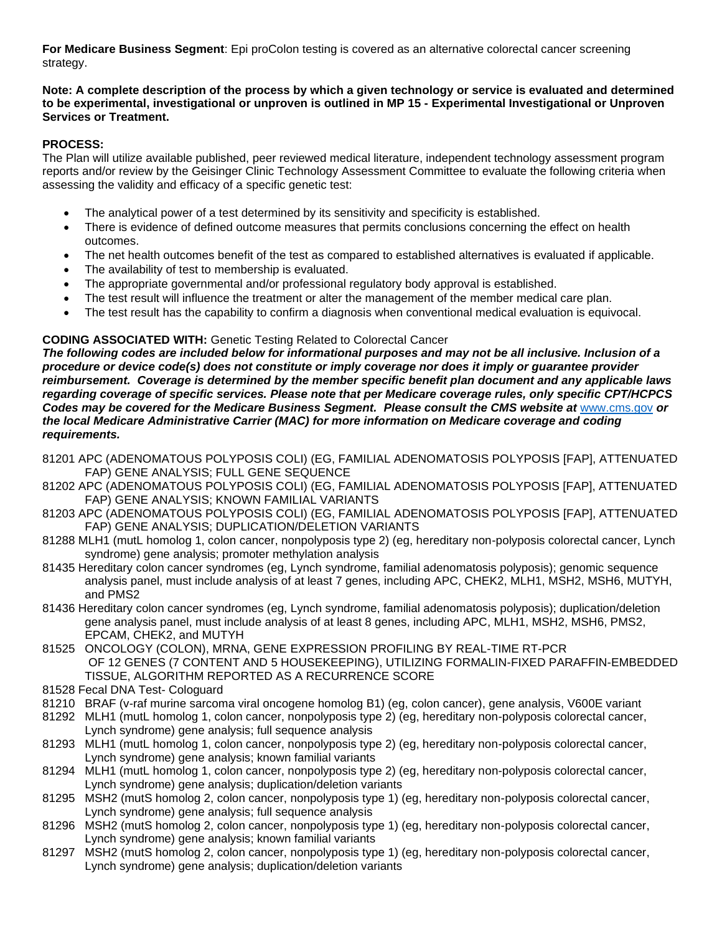**For Medicare Business Segment**: Epi proColon testing is covered as an alternative colorectal cancer screening strategy.

#### **Note: A complete description of the process by which a given technology or service is evaluated and determined to be experimental, investigational or unproven is outlined in MP 15 - Experimental Investigational or Unproven Services or Treatment.**

#### **PROCESS:**

The Plan will utilize available published, peer reviewed medical literature, independent technology assessment program reports and/or review by the Geisinger Clinic Technology Assessment Committee to evaluate the following criteria when assessing the validity and efficacy of a specific genetic test:

- The analytical power of a test determined by its sensitivity and specificity is established.
- There is evidence of defined outcome measures that permits conclusions concerning the effect on health outcomes.
- The net health outcomes benefit of the test as compared to established alternatives is evaluated if applicable.
- The availability of test to membership is evaluated.
- The appropriate governmental and/or professional regulatory body approval is established.
- The test result will influence the treatment or alter the management of the member medical care plan.
- The test result has the capability to confirm a diagnosis when conventional medical evaluation is equivocal.

#### **CODING ASSOCIATED WITH:** Genetic Testing Related to Colorectal Cancer

*The following codes are included below for informational purposes and may not be all inclusive. Inclusion of a procedure or device code(s) does not constitute or imply coverage nor does it imply or guarantee provider reimbursement. Coverage is determined by the member specific benefit plan document and any applicable laws regarding coverage of specific services. Please note that per Medicare coverage rules, only specific CPT/HCPCS Codes may be covered for the Medicare Business Segment. Please consult the CMS website at* [www.cms.gov](http://www.cms.gov/) *or the local Medicare Administrative Carrier (MAC) for more information on Medicare coverage and coding requirements.*

- 81201 APC (ADENOMATOUS POLYPOSIS COLI) (EG, FAMILIAL ADENOMATOSIS POLYPOSIS [FAP], ATTENUATED FAP) GENE ANALYSIS; FULL GENE SEQUENCE
- 81202 APC (ADENOMATOUS POLYPOSIS COLI) (EG, FAMILIAL ADENOMATOSIS POLYPOSIS [FAP], ATTENUATED FAP) GENE ANALYSIS; KNOWN FAMILIAL VARIANTS
- 81203 APC (ADENOMATOUS POLYPOSIS COLI) (EG, FAMILIAL ADENOMATOSIS POLYPOSIS [FAP], ATTENUATED FAP) GENE ANALYSIS; DUPLICATION/DELETION VARIANTS
- 81288 MLH1 (mutL homolog 1, colon cancer, nonpolyposis type 2) (eg, hereditary non-polyposis colorectal cancer, Lynch syndrome) gene analysis; promoter methylation analysis
- 81435 Hereditary colon cancer syndromes (eg, Lynch syndrome, familial adenomatosis polyposis); genomic sequence analysis panel, must include analysis of at least 7 genes, including APC, CHEK2, MLH1, MSH2, MSH6, MUTYH, and PMS2
- 81436 Hereditary colon cancer syndromes (eg, Lynch syndrome, familial adenomatosis polyposis); duplication/deletion gene analysis panel, must include analysis of at least 8 genes, including APC, MLH1, MSH2, MSH6, PMS2, EPCAM, CHEK2, and MUTYH
- 81525 ONCOLOGY (COLON), MRNA, GENE EXPRESSION PROFILING BY REAL-TIME RT-PCR OF 12 GENES (7 CONTENT AND 5 HOUSEKEEPING), UTILIZING FORMALIN-FIXED PARAFFIN-EMBEDDED TISSUE, ALGORITHM REPORTED AS A RECURRENCE SCORE
- 81528 Fecal DNA Test- Cologuard
- 81210 BRAF (v-raf murine sarcoma viral oncogene homolog B1) (eg, colon cancer), gene analysis, V600E variant
- 81292 MLH1 (mutL homolog 1, colon cancer, nonpolyposis type 2) (eg, hereditary non-polyposis colorectal cancer, Lynch syndrome) gene analysis; full sequence analysis
- 81293 MLH1 (mutL homolog 1, colon cancer, nonpolyposis type 2) (eg, hereditary non-polyposis colorectal cancer, Lynch syndrome) gene analysis; known familial variants
- 81294 MLH1 (mutL homolog 1, colon cancer, nonpolyposis type 2) (eg, hereditary non-polyposis colorectal cancer, Lynch syndrome) gene analysis; duplication/deletion variants
- 81295 MSH2 (mutS homolog 2, colon cancer, nonpolyposis type 1) (eg, hereditary non-polyposis colorectal cancer, Lynch syndrome) gene analysis; full sequence analysis
- 81296 MSH2 (mutS homolog 2, colon cancer, nonpolyposis type 1) (eg, hereditary non-polyposis colorectal cancer, Lynch syndrome) gene analysis; known familial variants
- 81297 MSH2 (mutS homolog 2, colon cancer, nonpolyposis type 1) (eg, hereditary non-polyposis colorectal cancer, Lynch syndrome) gene analysis; duplication/deletion variants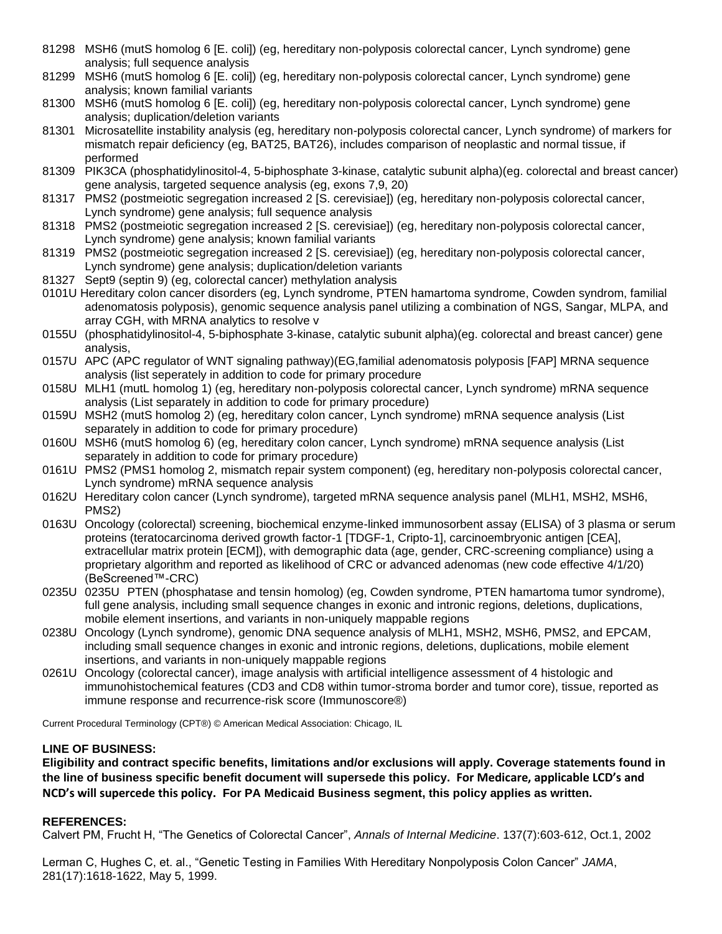- 81298 MSH6 (mutS homolog 6 [E. coli]) (eg, hereditary non-polyposis colorectal cancer, Lynch syndrome) gene analysis; full sequence analysis
- 81299 MSH6 (mutS homolog 6 [E. coli]) (eg, hereditary non-polyposis colorectal cancer, Lynch syndrome) gene analysis; known familial variants
- 81300 MSH6 (mutS homolog 6 [E. coli]) (eg, hereditary non-polyposis colorectal cancer, Lynch syndrome) gene analysis; duplication/deletion variants
- 81301 Microsatellite instability analysis (eg, hereditary non-polyposis colorectal cancer, Lynch syndrome) of markers for mismatch repair deficiency (eg, BAT25, BAT26), includes comparison of neoplastic and normal tissue, if performed
- 81309 PIK3CA (phosphatidylinositol-4, 5-biphosphate 3-kinase, catalytic subunit alpha)(eg. colorectal and breast cancer) gene analysis, targeted sequence analysis (eg, exons 7,9, 20)
- 81317 PMS2 (postmeiotic segregation increased 2 [S. cerevisiae]) (eg, hereditary non-polyposis colorectal cancer, Lynch syndrome) gene analysis; full sequence analysis
- 81318 PMS2 (postmeiotic segregation increased 2 [S. cerevisiae]) (eg, hereditary non-polyposis colorectal cancer, Lynch syndrome) gene analysis; known familial variants
- 81319 PMS2 (postmeiotic segregation increased 2 [S. cerevisiae]) (eg, hereditary non-polyposis colorectal cancer, Lynch syndrome) gene analysis; duplication/deletion variants
- 81327 Sept9 (septin 9) (eg, colorectal cancer) methylation analysis
- 0101U Hereditary colon cancer disorders (eg, Lynch syndrome, PTEN hamartoma syndrome, Cowden syndrom, familial adenomatosis polyposis), genomic sequence analysis panel utilizing a combination of NGS, Sangar, MLPA, and array CGH, with MRNA analytics to resolve v
- 0155U (phosphatidylinositol-4, 5-biphosphate 3-kinase, catalytic subunit alpha)(eg. colorectal and breast cancer) gene analysis,
- 0157U APC (APC regulator of WNT signaling pathway)(EG,familial adenomatosis polyposis [FAP] MRNA sequence analysis (list seperately in addition to code for primary procedure
- 0158U MLH1 (mutL homolog 1) (eg, hereditary non-polyposis colorectal cancer, Lynch syndrome) mRNA sequence analysis (List separately in addition to code for primary procedure)
- 0159U MSH2 (mutS homolog 2) (eg, hereditary colon cancer, Lynch syndrome) mRNA sequence analysis (List separately in addition to code for primary procedure)
- 0160U MSH6 (mutS homolog 6) (eg, hereditary colon cancer, Lynch syndrome) mRNA sequence analysis (List separately in addition to code for primary procedure)
- 0161U PMS2 (PMS1 homolog 2, mismatch repair system component) (eg, hereditary non-polyposis colorectal cancer, Lynch syndrome) mRNA sequence analysis
- 0162U Hereditary colon cancer (Lynch syndrome), targeted mRNA sequence analysis panel (MLH1, MSH2, MSH6, PMS2)
- 0163U Oncology (colorectal) screening, biochemical enzyme-linked immunosorbent assay (ELISA) of 3 plasma or serum proteins (teratocarcinoma derived growth factor-1 [TDGF-1, Cripto-1], carcinoembryonic antigen [CEA], extracellular matrix protein [ECM]), with demographic data (age, gender, CRC-screening compliance) using a proprietary algorithm and reported as likelihood of CRC or advanced adenomas (new code effective 4/1/20) (BeScreened™-CRC)
- 0235U 0235U PTEN (phosphatase and tensin homolog) (eg, Cowden syndrome, PTEN hamartoma tumor syndrome), full gene analysis, including small sequence changes in exonic and intronic regions, deletions, duplications, mobile element insertions, and variants in non-uniquely mappable regions
- 0238U Oncology (Lynch syndrome), genomic DNA sequence analysis of MLH1, MSH2, MSH6, PMS2, and EPCAM, including small sequence changes in exonic and intronic regions, deletions, duplications, mobile element insertions, and variants in non-uniquely mappable regions
- 0261U Oncology (colorectal cancer), image analysis with artificial intelligence assessment of 4 histologic and immunohistochemical features (CD3 and CD8 within tumor-stroma border and tumor core), tissue, reported as immune response and recurrence-risk score (Immunoscore®)

Current Procedural Terminology (CPT®) © American Medical Association: Chicago, IL

#### **LINE OF BUSINESS:**

**Eligibility and contract specific benefits, limitations and/or exclusions will apply. Coverage statements found in the line of business specific benefit document will supersede this policy. For Medicare, applicable LCD's and NCD's will supercede this policy. For PA Medicaid Business segment, this policy applies as written.**

#### **REFERENCES:**

Calvert PM, Frucht H, "The Genetics of Colorectal Cancer", *Annals of Internal Medicine*. 137(7):603-612, Oct.1, 2002

Lerman C, Hughes C, et. al., "Genetic Testing in Families With Hereditary Nonpolyposis Colon Cancer" *JAMA*, 281(17):1618-1622, May 5, 1999.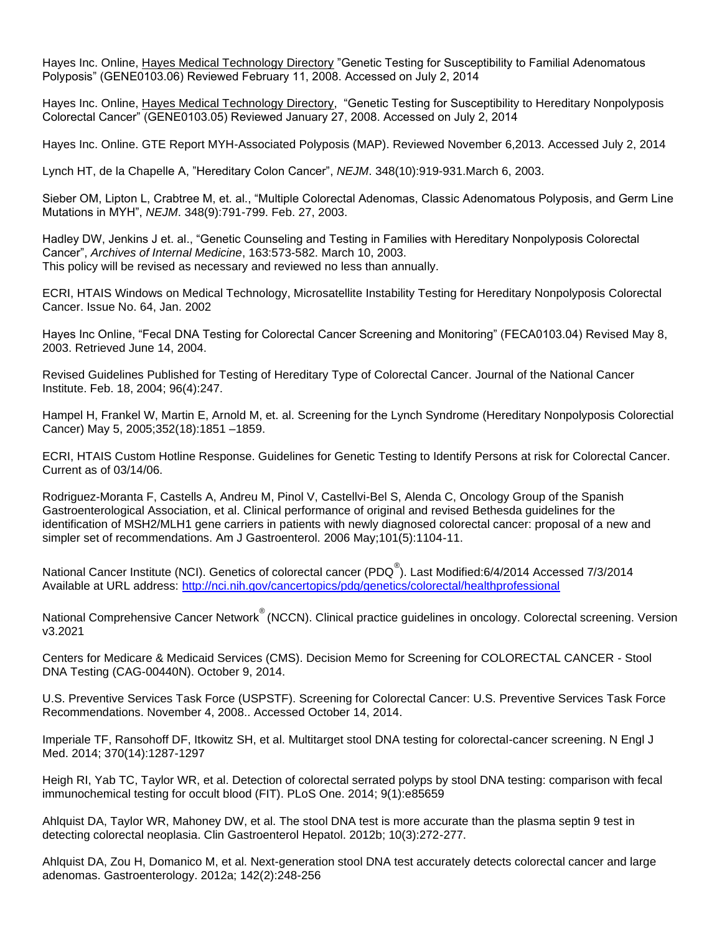Hayes Inc. Online, Hayes Medical Technology Directory "Genetic Testing for Susceptibility to Familial Adenomatous Polyposis" (GENE0103.06) Reviewed February 11, 2008. Accessed on July 2, 2014

Hayes Inc. Online, Hayes Medical Technology Directory, "Genetic Testing for Susceptibility to Hereditary Nonpolyposis Colorectal Cancer" (GENE0103.05) Reviewed January 27, 2008. Accessed on July 2, 2014

Hayes Inc. Online. GTE Report MYH-Associated Polyposis (MAP). Reviewed November 6,2013. Accessed July 2, 2014

Lynch HT, de la Chapelle A, "Hereditary Colon Cancer", *NEJM*. 348(10):919-931.March 6, 2003.

Sieber OM, Lipton L, Crabtree M, et. al., "Multiple Colorectal Adenomas, Classic Adenomatous Polyposis, and Germ Line Mutations in MYH", *NEJM*. 348(9):791-799. Feb. 27, 2003.

Hadley DW, Jenkins J et. al., "Genetic Counseling and Testing in Families with Hereditary Nonpolyposis Colorectal Cancer", *Archives of Internal Medicine*, 163:573-582. March 10, 2003. This policy will be revised as necessary and reviewed no less than annually.

ECRI, HTAIS Windows on Medical Technology, Microsatellite Instability Testing for Hereditary Nonpolyposis Colorectal Cancer. Issue No. 64, Jan. 2002

Hayes Inc Online, "Fecal DNA Testing for Colorectal Cancer Screening and Monitoring" (FECA0103.04) Revised May 8, 2003. Retrieved June 14, 2004.

Revised Guidelines Published for Testing of Hereditary Type of Colorectal Cancer. Journal of the National Cancer Institute. Feb. 18, 2004; 96(4):247.

Hampel H, Frankel W, Martin E, Arnold M, et. al. Screening for the Lynch Syndrome (Hereditary Nonpolyposis Colorectial Cancer) May 5, 2005;352(18):1851 –1859.

ECRI, HTAIS Custom Hotline Response. Guidelines for Genetic Testing to Identify Persons at risk for Colorectal Cancer. Current as of 03/14/06.

Rodriguez-Moranta F, Castells A, Andreu M, Pinol V, Castellvi-Bel S, Alenda C, Oncology Group of the Spanish Gastroenterological Association, et al. Clinical performance of original and revised Bethesda guidelines for the identification of MSH2/MLH1 gene carriers in patients with newly diagnosed colorectal cancer: proposal of a new and simpler set of recommendations. Am J Gastroenterol. 2006 May;101(5):1104-11.

National Cancer Institute (NCI). Genetics of colorectal cancer (PDQ<sup>®</sup>). Last Modified:6/4/2014 Accessed 7/3/2014 Available at URL address:<http://nci.nih.gov/cancertopics/pdq/genetics/colorectal/healthprofessional>

National Comprehensive Cancer Network<sup>®</sup> (NCCN). Clinical practice guidelines in oncology. Colorectal screening. Version v3.2021

Centers for Medicare & Medicaid Services (CMS). Decision Memo for Screening for COLORECTAL CANCER - Stool DNA Testing (CAG-00440N). October 9, 2014.

U.S. Preventive Services Task Force (USPSTF). Screening for Colorectal Cancer: U.S. Preventive Services Task Force Recommendations. November 4, 2008.. Accessed October 14, 2014.

Imperiale TF, Ransohoff DF, Itkowitz SH, et al. Multitarget stool DNA testing for colorectal-cancer screening. N Engl J Med. 2014; 370(14):1287-1297

Heigh RI, Yab TC, Taylor WR, et al. Detection of colorectal serrated polyps by stool DNA testing: comparison with fecal immunochemical testing for occult blood (FIT). PLoS One. 2014; 9(1):e85659

Ahlquist DA, Taylor WR, Mahoney DW, et al. The stool DNA test is more accurate than the plasma septin 9 test in detecting colorectal neoplasia. Clin Gastroenterol Hepatol. 2012b; 10(3):272-277.

Ahlquist DA, Zou H, Domanico M, et al. Next-generation stool DNA test accurately detects colorectal cancer and large adenomas. Gastroenterology. 2012a; 142(2):248-256